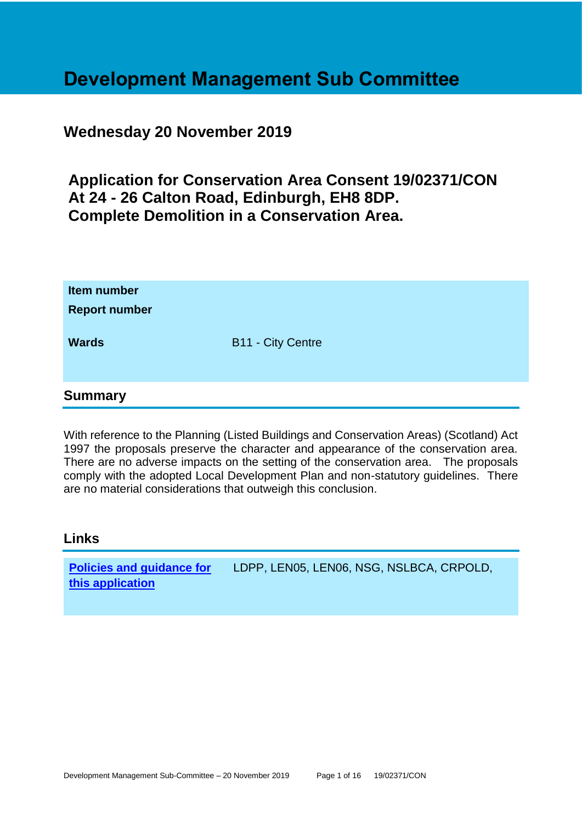# **Development Management Sub Committee**

# **Wednesday 20 November 2019**

**Application for Conservation Area Consent 19/02371/CON At 24 - 26 Calton Road, Edinburgh, EH8 8DP. Complete Demolition in a Conservation Area.**

| Item number<br><b>Report number</b> |                          |
|-------------------------------------|--------------------------|
| <b>Wards</b>                        | <b>B11 - City Centre</b> |
| <b>Summary</b>                      |                          |

With reference to the Planning (Listed Buildings and Conservation Areas) (Scotland) Act 1997 the proposals preserve the character and appearance of the conservation area. There are no adverse impacts on the setting of the conservation area. The proposals comply with the adopted Local Development Plan and non-statutory guidelines. There are no material considerations that outweigh this conclusion.

# **Links**

**[Policies and guidance for](file:///C:/uniform/temp/uf04148.rtf%23Policies)  [this application](file:///C:/uniform/temp/uf04148.rtf%23Policies)** LDPP, LEN05, LEN06, NSG, NSLBCA, CRPOLD,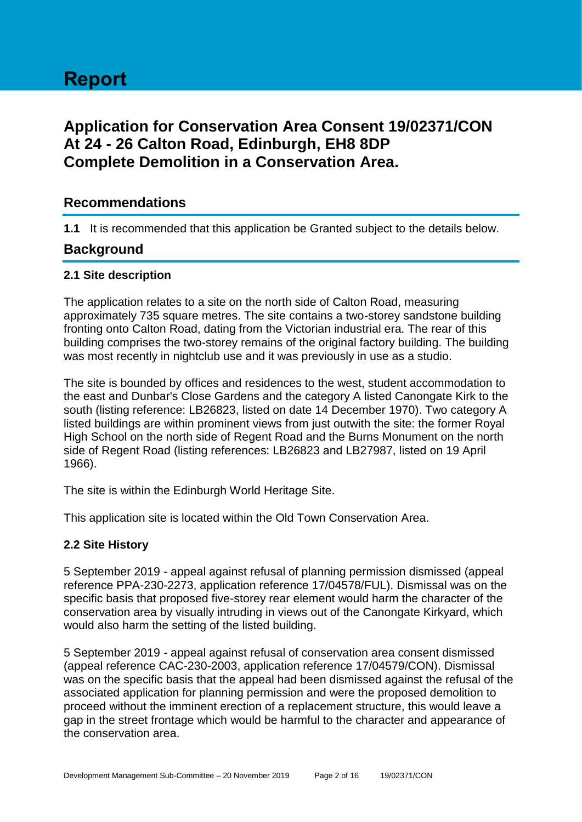# **Report**

# **Application for Conservation Area Consent 19/02371/CON At 24 - 26 Calton Road, Edinburgh, EH8 8DP Complete Demolition in a Conservation Area.**

# **Recommendations**

**1.1** It is recommended that this application be Granted subject to the details below.

# **Background**

#### **2.1 Site description**

The application relates to a site on the north side of Calton Road, measuring approximately 735 square metres. The site contains a two-storey sandstone building fronting onto Calton Road, dating from the Victorian industrial era. The rear of this building comprises the two-storey remains of the original factory building. The building was most recently in nightclub use and it was previously in use as a studio.

The site is bounded by offices and residences to the west, student accommodation to the east and Dunbar's Close Gardens and the category A listed Canongate Kirk to the south (listing reference: LB26823, listed on date 14 December 1970). Two category A listed buildings are within prominent views from just outwith the site: the former Royal High School on the north side of Regent Road and the Burns Monument on the north side of Regent Road (listing references: LB26823 and LB27987, listed on 19 April 1966).

The site is within the Edinburgh World Heritage Site.

This application site is located within the Old Town Conservation Area.

# **2.2 Site History**

5 September 2019 - appeal against refusal of planning permission dismissed (appeal reference PPA-230-2273, application reference 17/04578/FUL). Dismissal was on the specific basis that proposed five-storey rear element would harm the character of the conservation area by visually intruding in views out of the Canongate Kirkyard, which would also harm the setting of the listed building.

5 September 2019 - appeal against refusal of conservation area consent dismissed (appeal reference CAC-230-2003, application reference 17/04579/CON). Dismissal was on the specific basis that the appeal had been dismissed against the refusal of the associated application for planning permission and were the proposed demolition to proceed without the imminent erection of a replacement structure, this would leave a gap in the street frontage which would be harmful to the character and appearance of the conservation area.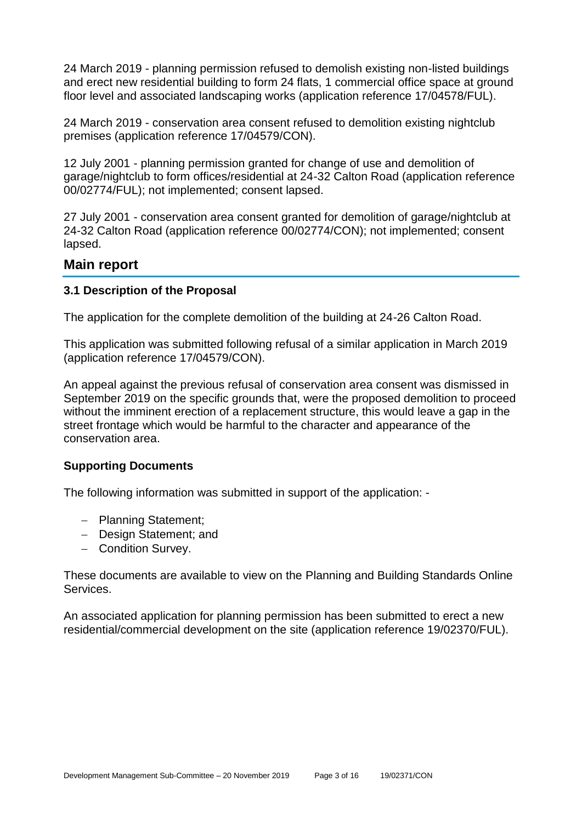24 March 2019 - planning permission refused to demolish existing non-listed buildings and erect new residential building to form 24 flats, 1 commercial office space at ground floor level and associated landscaping works (application reference 17/04578/FUL).

24 March 2019 - conservation area consent refused to demolition existing nightclub premises (application reference 17/04579/CON).

12 July 2001 - planning permission granted for change of use and demolition of garage/nightclub to form offices/residential at 24-32 Calton Road (application reference 00/02774/FUL); not implemented; consent lapsed.

27 July 2001 - conservation area consent granted for demolition of garage/nightclub at 24-32 Calton Road (application reference 00/02774/CON); not implemented; consent lapsed.

# **Main report**

#### **3.1 Description of the Proposal**

The application for the complete demolition of the building at 24-26 Calton Road.

This application was submitted following refusal of a similar application in March 2019 (application reference 17/04579/CON).

An appeal against the previous refusal of conservation area consent was dismissed in September 2019 on the specific grounds that, were the proposed demolition to proceed without the imminent erection of a replacement structure, this would leave a gap in the street frontage which would be harmful to the character and appearance of the conservation area.

# **Supporting Documents**

The following information was submitted in support of the application: -

- − Planning Statement;
- − Design Statement; and
- − Condition Survey.

These documents are available to view on the Planning and Building Standards Online Services.

An associated application for planning permission has been submitted to erect a new residential/commercial development on the site (application reference 19/02370/FUL).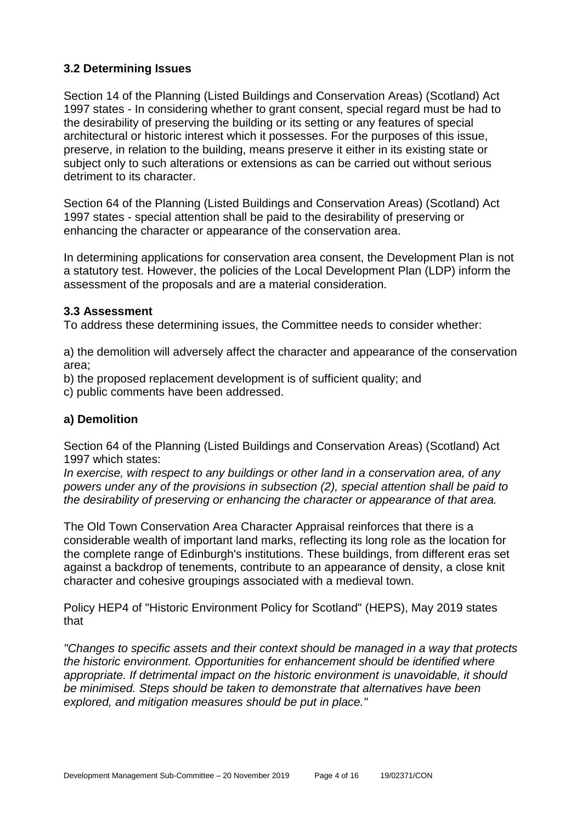# **3.2 Determining Issues**

Section 14 of the Planning (Listed Buildings and Conservation Areas) (Scotland) Act 1997 states - In considering whether to grant consent, special regard must be had to the desirability of preserving the building or its setting or any features of special architectural or historic interest which it possesses. For the purposes of this issue, preserve, in relation to the building, means preserve it either in its existing state or subject only to such alterations or extensions as can be carried out without serious detriment to its character.

Section 64 of the Planning (Listed Buildings and Conservation Areas) (Scotland) Act 1997 states - special attention shall be paid to the desirability of preserving or enhancing the character or appearance of the conservation area.

In determining applications for conservation area consent, the Development Plan is not a statutory test. However, the policies of the Local Development Plan (LDP) inform the assessment of the proposals and are a material consideration.

#### **3.3 Assessment**

To address these determining issues, the Committee needs to consider whether:

a) the demolition will adversely affect the character and appearance of the conservation area;

b) the proposed replacement development is of sufficient quality; and

c) public comments have been addressed.

# **a) Demolition**

Section 64 of the Planning (Listed Buildings and Conservation Areas) (Scotland) Act 1997 which states:

*In exercise, with respect to any buildings or other land in a conservation area, of any powers under any of the provisions in subsection (2), special attention shall be paid to the desirability of preserving or enhancing the character or appearance of that area.*

The Old Town Conservation Area Character Appraisal reinforces that there is a considerable wealth of important land marks, reflecting its long role as the location for the complete range of Edinburgh's institutions. These buildings, from different eras set against a backdrop of tenements, contribute to an appearance of density, a close knit character and cohesive groupings associated with a medieval town.

Policy HEP4 of "Historic Environment Policy for Scotland" (HEPS), May 2019 states that

*"Changes to specific assets and their context should be managed in a way that protects the historic environment. Opportunities for enhancement should be identified where appropriate. If detrimental impact on the historic environment is unavoidable, it should be minimised. Steps should be taken to demonstrate that alternatives have been explored, and mitigation measures should be put in place."*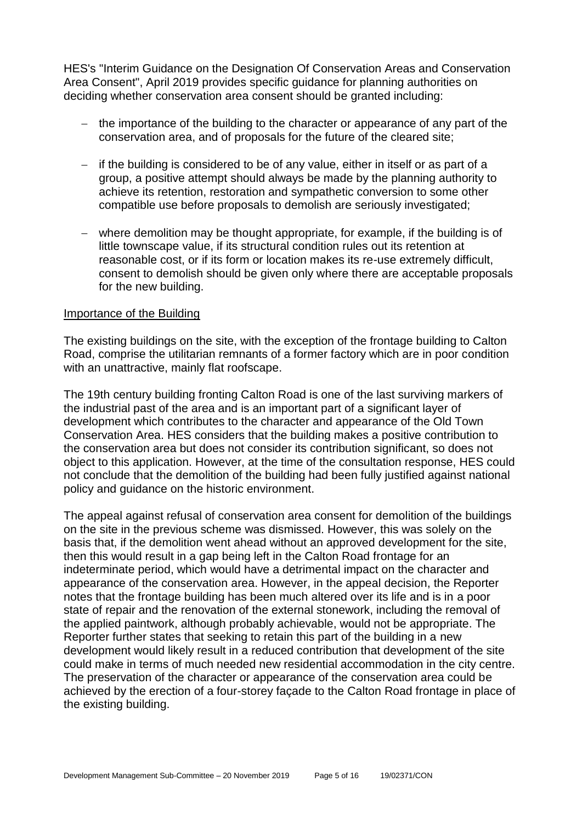HES's "Interim Guidance on the Designation Of Conservation Areas and Conservation Area Consent", April 2019 provides specific guidance for planning authorities on deciding whether conservation area consent should be granted including:

- − the importance of the building to the character or appearance of any part of the conservation area, and of proposals for the future of the cleared site;
- − if the building is considered to be of any value, either in itself or as part of a group, a positive attempt should always be made by the planning authority to achieve its retention, restoration and sympathetic conversion to some other compatible use before proposals to demolish are seriously investigated;
- − where demolition may be thought appropriate, for example, if the building is of little townscape value, if its structural condition rules out its retention at reasonable cost, or if its form or location makes its re-use extremely difficult, consent to demolish should be given only where there are acceptable proposals for the new building.

#### Importance of the Building

The existing buildings on the site, with the exception of the frontage building to Calton Road, comprise the utilitarian remnants of a former factory which are in poor condition with an unattractive, mainly flat roofscape.

The 19th century building fronting Calton Road is one of the last surviving markers of the industrial past of the area and is an important part of a significant layer of development which contributes to the character and appearance of the Old Town Conservation Area. HES considers that the building makes a positive contribution to the conservation area but does not consider its contribution significant, so does not object to this application. However, at the time of the consultation response, HES could not conclude that the demolition of the building had been fully justified against national policy and guidance on the historic environment.

The appeal against refusal of conservation area consent for demolition of the buildings on the site in the previous scheme was dismissed. However, this was solely on the basis that, if the demolition went ahead without an approved development for the site, then this would result in a gap being left in the Calton Road frontage for an indeterminate period, which would have a detrimental impact on the character and appearance of the conservation area. However, in the appeal decision, the Reporter notes that the frontage building has been much altered over its life and is in a poor state of repair and the renovation of the external stonework, including the removal of the applied paintwork, although probably achievable, would not be appropriate. The Reporter further states that seeking to retain this part of the building in a new development would likely result in a reduced contribution that development of the site could make in terms of much needed new residential accommodation in the city centre. The preservation of the character or appearance of the conservation area could be achieved by the erection of a four-storey façade to the Calton Road frontage in place of the existing building.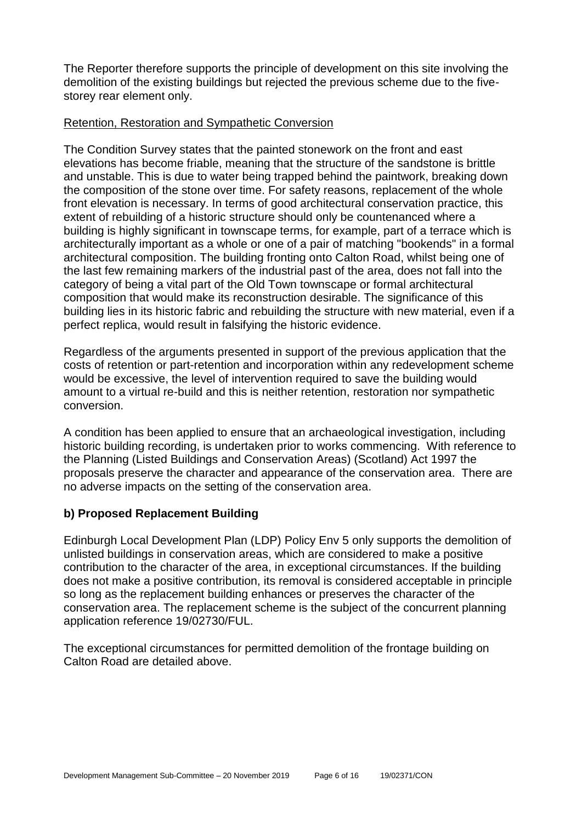The Reporter therefore supports the principle of development on this site involving the demolition of the existing buildings but rejected the previous scheme due to the fivestorey rear element only.

# Retention, Restoration and Sympathetic Conversion

The Condition Survey states that the painted stonework on the front and east elevations has become friable, meaning that the structure of the sandstone is brittle and unstable. This is due to water being trapped behind the paintwork, breaking down the composition of the stone over time. For safety reasons, replacement of the whole front elevation is necessary. In terms of good architectural conservation practice, this extent of rebuilding of a historic structure should only be countenanced where a building is highly significant in townscape terms, for example, part of a terrace which is architecturally important as a whole or one of a pair of matching "bookends" in a formal architectural composition. The building fronting onto Calton Road, whilst being one of the last few remaining markers of the industrial past of the area, does not fall into the category of being a vital part of the Old Town townscape or formal architectural composition that would make its reconstruction desirable. The significance of this building lies in its historic fabric and rebuilding the structure with new material, even if a perfect replica, would result in falsifying the historic evidence.

Regardless of the arguments presented in support of the previous application that the costs of retention or part-retention and incorporation within any redevelopment scheme would be excessive, the level of intervention required to save the building would amount to a virtual re-build and this is neither retention, restoration nor sympathetic conversion.

A condition has been applied to ensure that an archaeological investigation, including historic building recording, is undertaken prior to works commencing. With reference to the Planning (Listed Buildings and Conservation Areas) (Scotland) Act 1997 the proposals preserve the character and appearance of the conservation area. There are no adverse impacts on the setting of the conservation area.

# **b) Proposed Replacement Building**

Edinburgh Local Development Plan (LDP) Policy Env 5 only supports the demolition of unlisted buildings in conservation areas, which are considered to make a positive contribution to the character of the area, in exceptional circumstances. If the building does not make a positive contribution, its removal is considered acceptable in principle so long as the replacement building enhances or preserves the character of the conservation area. The replacement scheme is the subject of the concurrent planning application reference 19/02730/FUL.

The exceptional circumstances for permitted demolition of the frontage building on Calton Road are detailed above.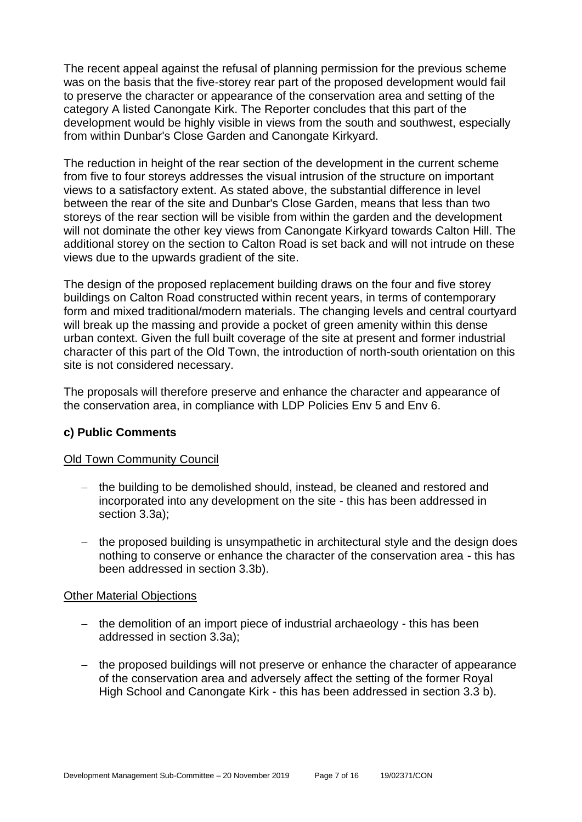The recent appeal against the refusal of planning permission for the previous scheme was on the basis that the five-storey rear part of the proposed development would fail to preserve the character or appearance of the conservation area and setting of the category A listed Canongate Kirk. The Reporter concludes that this part of the development would be highly visible in views from the south and southwest, especially from within Dunbar's Close Garden and Canongate Kirkyard.

The reduction in height of the rear section of the development in the current scheme from five to four storeys addresses the visual intrusion of the structure on important views to a satisfactory extent. As stated above, the substantial difference in level between the rear of the site and Dunbar's Close Garden, means that less than two storeys of the rear section will be visible from within the garden and the development will not dominate the other key views from Canongate Kirkyard towards Calton Hill. The additional storey on the section to Calton Road is set back and will not intrude on these views due to the upwards gradient of the site.

The design of the proposed replacement building draws on the four and five storey buildings on Calton Road constructed within recent years, in terms of contemporary form and mixed traditional/modern materials. The changing levels and central courtyard will break up the massing and provide a pocket of green amenity within this dense urban context. Given the full built coverage of the site at present and former industrial character of this part of the Old Town, the introduction of north-south orientation on this site is not considered necessary.

The proposals will therefore preserve and enhance the character and appearance of the conservation area, in compliance with LDP Policies Env 5 and Env 6.

# **c) Public Comments**

# Old Town Community Council

- − the building to be demolished should, instead, be cleaned and restored and incorporated into any development on the site - this has been addressed in section 3.3a);
- − the proposed building is unsympathetic in architectural style and the design does nothing to conserve or enhance the character of the conservation area - this has been addressed in section 3.3b).

# Other Material Objections

- − the demolition of an import piece of industrial archaeology this has been addressed in section 3.3a);
- − the proposed buildings will not preserve or enhance the character of appearance of the conservation area and adversely affect the setting of the former Royal High School and Canongate Kirk - this has been addressed in section 3.3 b).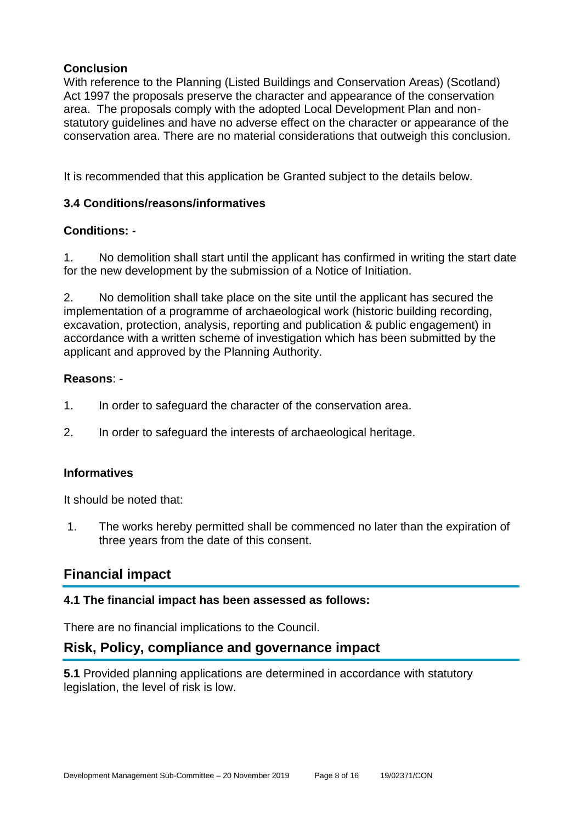# **Conclusion**

With reference to the Planning (Listed Buildings and Conservation Areas) (Scotland) Act 1997 the proposals preserve the character and appearance of the conservation area. The proposals comply with the adopted Local Development Plan and nonstatutory guidelines and have no adverse effect on the character or appearance of the conservation area. There are no material considerations that outweigh this conclusion.

It is recommended that this application be Granted subject to the details below.

# **3.4 Conditions/reasons/informatives**

# **Conditions: -**

1. No demolition shall start until the applicant has confirmed in writing the start date for the new development by the submission of a Notice of Initiation.

2. No demolition shall take place on the site until the applicant has secured the implementation of a programme of archaeological work (historic building recording, excavation, protection, analysis, reporting and publication & public engagement) in accordance with a written scheme of investigation which has been submitted by the applicant and approved by the Planning Authority.

# **Reasons**: -

- 1. In order to safeguard the character of the conservation area.
- 2. In order to safeguard the interests of archaeological heritage.

# **Informatives**

It should be noted that:

1. The works hereby permitted shall be commenced no later than the expiration of three years from the date of this consent.

# **Financial impact**

# **4.1 The financial impact has been assessed as follows:**

There are no financial implications to the Council.

# **Risk, Policy, compliance and governance impact**

**5.1** Provided planning applications are determined in accordance with statutory legislation, the level of risk is low.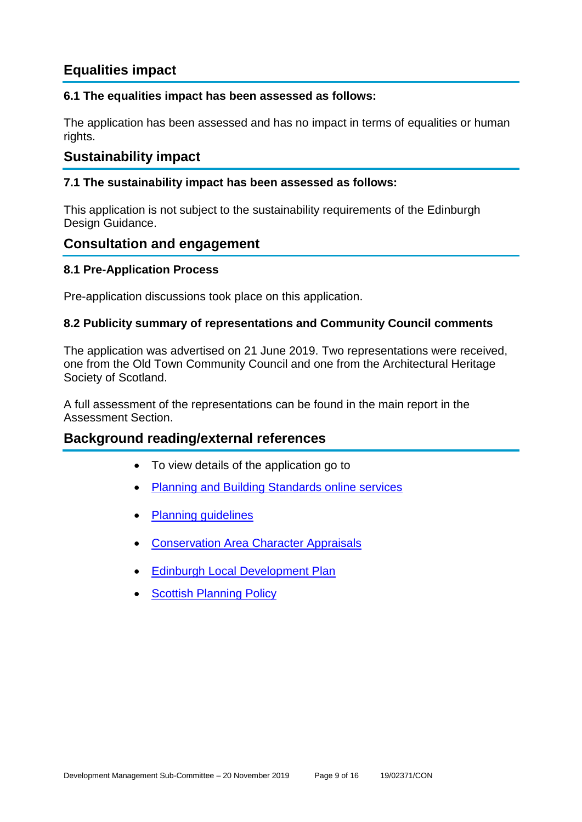# **Equalities impact**

# **6.1 The equalities impact has been assessed as follows:**

The application has been assessed and has no impact in terms of equalities or human rights.

# **Sustainability impact**

# **7.1 The sustainability impact has been assessed as follows:**

This application is not subject to the sustainability requirements of the Edinburgh Design Guidance.

# **Consultation and engagement**

# **8.1 Pre-Application Process**

Pre-application discussions took place on this application.

#### **8.2 Publicity summary of representations and Community Council comments**

The application was advertised on 21 June 2019. Two representations were received, one from the Old Town Community Council and one from the Architectural Heritage Society of Scotland.

A full assessment of the representations can be found in the main report in the Assessment Section.

# **Background reading/external references**

- To view details of the application go to
- [Planning and Building Standards online services](https://citydev-portal.edinburgh.gov.uk/idoxpa-web/search.do?action=simple&searchType=Application)
- [Planning guidelines](http://www.edinburgh.gov.uk/planningguidelines)
- [Conservation Area Character Appraisals](http://www.edinburgh.gov.uk/characterappraisals)
- **[Edinburgh Local Development Plan](http://www.edinburgh.gov.uk/localdevelopmentplan)**
- **[Scottish Planning Policy](http://www.scotland.gov.uk/Topics/Built-Environment/planning/Policy)**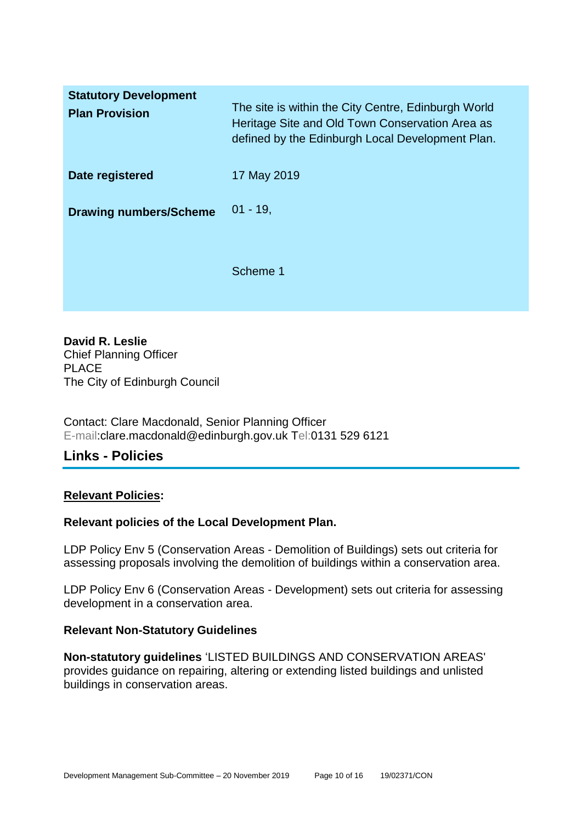| <b>Statutory Development</b><br><b>Plan Provision</b> | The site is within the City Centre, Edinburgh World<br>Heritage Site and Old Town Conservation Area as<br>defined by the Edinburgh Local Development Plan. |
|-------------------------------------------------------|------------------------------------------------------------------------------------------------------------------------------------------------------------|
| Date registered                                       | 17 May 2019                                                                                                                                                |
| <b>Drawing numbers/Scheme</b>                         | $01 - 19$ ,                                                                                                                                                |
|                                                       | Scheme 1                                                                                                                                                   |

**David R. Leslie** Chief Planning Officer PLACE The City of Edinburgh Council

Contact: Clare Macdonald, Senior Planning Officer E-mail:clare.macdonald@edinburgh.gov.uk Tel:0131 529 6121

# **Links - Policies**

# **Relevant Policies:**

# **Relevant policies of the Local Development Plan.**

LDP Policy Env 5 (Conservation Areas - Demolition of Buildings) sets out criteria for assessing proposals involving the demolition of buildings within a conservation area.

LDP Policy Env 6 (Conservation Areas - Development) sets out criteria for assessing development in a conservation area.

# **Relevant Non-Statutory Guidelines**

**Non-statutory guidelines** 'LISTED BUILDINGS AND CONSERVATION AREAS' provides guidance on repairing, altering or extending listed buildings and unlisted buildings in conservation areas.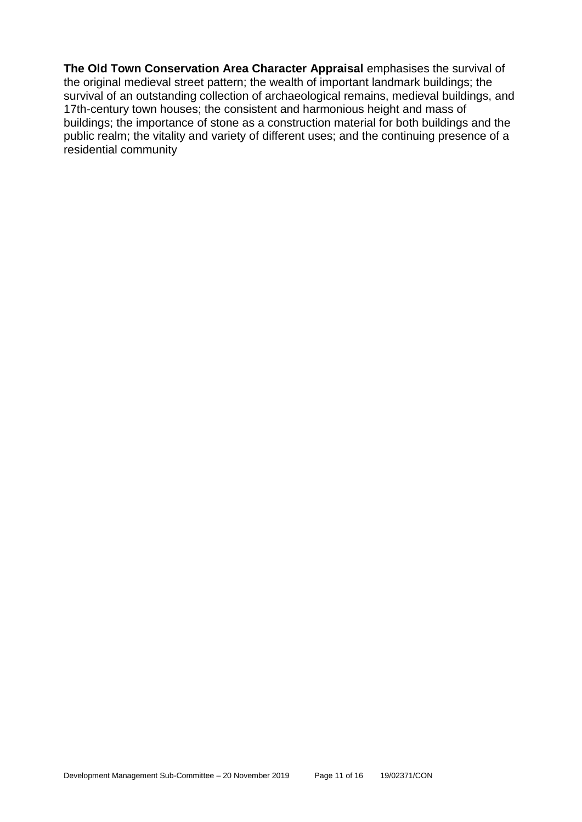**The Old Town Conservation Area Character Appraisal** emphasises the survival of the original medieval street pattern; the wealth of important landmark buildings; the survival of an outstanding collection of archaeological remains, medieval buildings, and 17th-century town houses; the consistent and harmonious height and mass of buildings; the importance of stone as a construction material for both buildings and the public realm; the vitality and variety of different uses; and the continuing presence of a residential community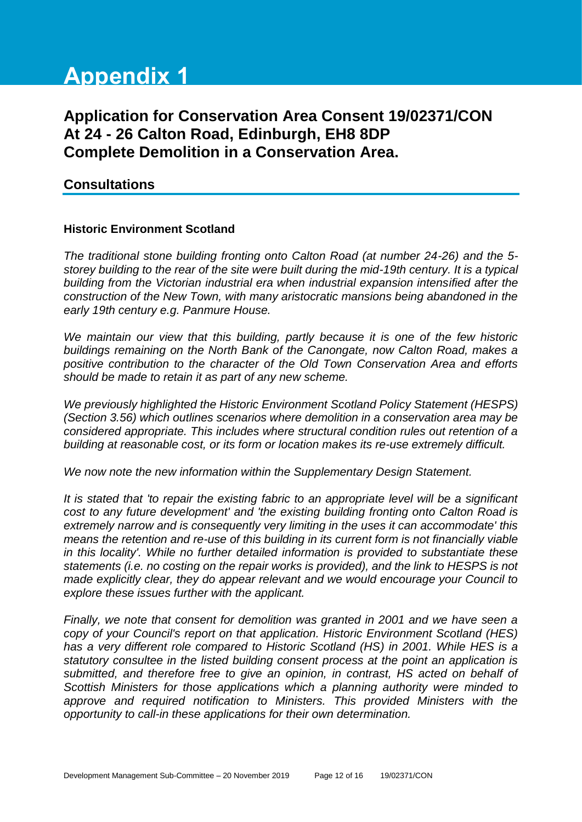# **Appendix 1**

# **Application for Conservation Area Consent 19/02371/CON At 24 - 26 Calton Road, Edinburgh, EH8 8DP Complete Demolition in a Conservation Area.**

# **Consultations**

# **Historic Environment Scotland**

*The traditional stone building fronting onto Calton Road (at number 24-26) and the 5 storey building to the rear of the site were built during the mid-19th century. It is a typical building from the Victorian industrial era when industrial expansion intensified after the construction of the New Town, with many aristocratic mansions being abandoned in the early 19th century e.g. Panmure House.*

*We maintain our view that this building, partly because it is one of the few historic buildings remaining on the North Bank of the Canongate, now Calton Road, makes a positive contribution to the character of the Old Town Conservation Area and efforts should be made to retain it as part of any new scheme.*

*We previously highlighted the Historic Environment Scotland Policy Statement (HESPS) (Section 3.56) which outlines scenarios where demolition in a conservation area may be considered appropriate. This includes where structural condition rules out retention of a building at reasonable cost, or its form or location makes its re-use extremely difficult.*

*We now note the new information within the Supplementary Design Statement.*

*It is stated that 'to repair the existing fabric to an appropriate level will be a significant cost to any future development' and 'the existing building fronting onto Calton Road is extremely narrow and is consequently very limiting in the uses it can accommodate' this means the retention and re-use of this building in its current form is not financially viable in this locality'. While no further detailed information is provided to substantiate these statements (i.e. no costing on the repair works is provided), and the link to HESPS is not made explicitly clear, they do appear relevant and we would encourage your Council to explore these issues further with the applicant.*

*Finally, we note that consent for demolition was granted in 2001 and we have seen a copy of your Council's report on that application. Historic Environment Scotland (HES) has a very different role compared to Historic Scotland (HS) in 2001. While HES is a statutory consultee in the listed building consent process at the point an application is submitted, and therefore free to give an opinion, in contrast, HS acted on behalf of Scottish Ministers for those applications which a planning authority were minded to approve and required notification to Ministers. This provided Ministers with the opportunity to call-in these applications for their own determination.*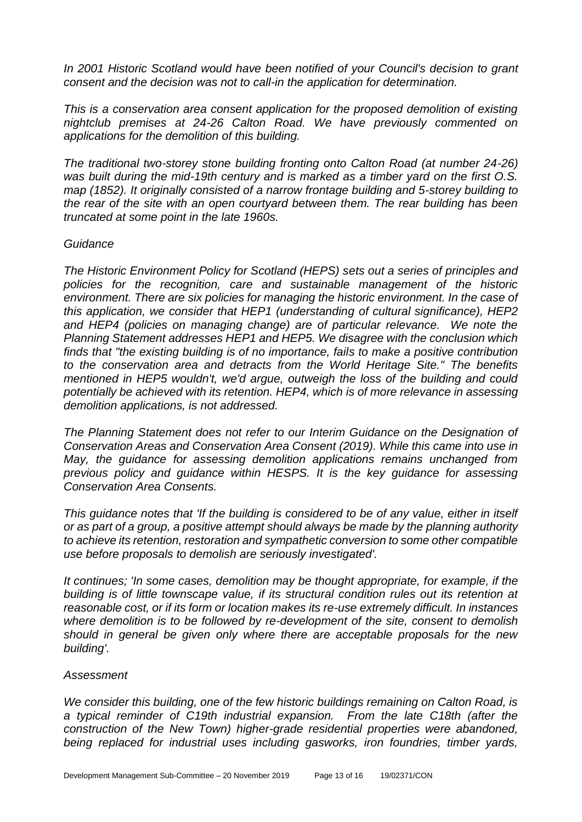*In 2001 Historic Scotland would have been notified of your Council's decision to grant consent and the decision was not to call-in the application for determination.*

*This is a conservation area consent application for the proposed demolition of existing nightclub premises at 24-26 Calton Road. We have previously commented on applications for the demolition of this building.* 

*The traditional two-storey stone building fronting onto Calton Road (at number 24-26) was built during the mid-19th century and is marked as a timber yard on the first O.S. map (1852). It originally consisted of a narrow frontage building and 5-storey building to the rear of the site with an open courtyard between them. The rear building has been truncated at some point in the late 1960s.* 

#### *Guidance*

*The Historic Environment Policy for Scotland (HEPS) sets out a series of principles and policies for the recognition, care and sustainable management of the historic environment. There are six policies for managing the historic environment. In the case of this application, we consider that HEP1 (understanding of cultural significance), HEP2*  and HEP4 (policies on managing change) are of particular relevance. We note the *Planning Statement addresses HEP1 and HEP5. We disagree with the conclusion which finds that "the existing building is of no importance, fails to make a positive contribution to the conservation area and detracts from the World Heritage Site." The benefits mentioned in HEP5 wouldn't, we'd argue, outweigh the loss of the building and could potentially be achieved with its retention. HEP4, which is of more relevance in assessing demolition applications, is not addressed.* 

*The Planning Statement does not refer to our Interim Guidance on the Designation of Conservation Areas and Conservation Area Consent (2019). While this came into use in May, the guidance for assessing demolition applications remains unchanged from previous policy and guidance within HESPS. It is the key guidance for assessing Conservation Area Consents.* 

*This guidance notes that 'If the building is considered to be of any value, either in itself or as part of a group, a positive attempt should always be made by the planning authority to achieve its retention, restoration and sympathetic conversion to some other compatible use before proposals to demolish are seriously investigated'.* 

*It continues; 'In some cases, demolition may be thought appropriate, for example, if the building is of little townscape value, if its structural condition rules out its retention at reasonable cost, or if its form or location makes its re-use extremely difficult. In instances where demolition is to be followed by re-development of the site, consent to demolish should in general be given only where there are acceptable proposals for the new building'.* 

#### *Assessment*

*We consider this building, one of the few historic buildings remaining on Calton Road, is a typical reminder of C19th industrial expansion. From the late C18th (after the construction of the New Town) higher-grade residential properties were abandoned, being replaced for industrial uses including gasworks, iron foundries, timber yards,*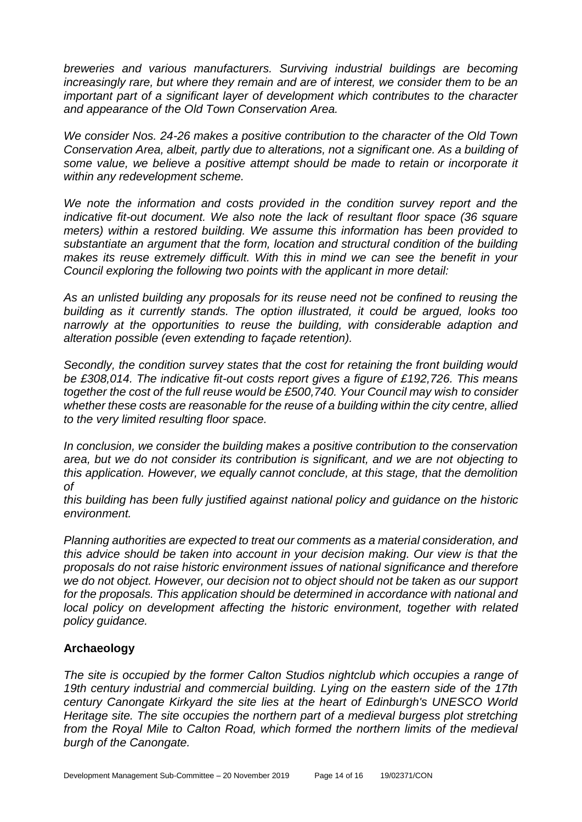*breweries and various manufacturers. Surviving industrial buildings are becoming increasingly rare, but where they remain and are of interest, we consider them to be an important part of a significant layer of development which contributes to the character and appearance of the Old Town Conservation Area.* 

*We consider Nos. 24-26 makes a positive contribution to the character of the Old Town Conservation Area, albeit, partly due to alterations, not a significant one. As a building of some value, we believe a positive attempt should be made to retain or incorporate it within any redevelopment scheme.* 

*We note the information and costs provided in the condition survey report and the indicative fit-out document. We also note the lack of resultant floor space (36 square meters) within a restored building. We assume this information has been provided to substantiate an argument that the form, location and structural condition of the building makes its reuse extremely difficult. With this in mind we can see the benefit in your Council exploring the following two points with the applicant in more detail:* 

*As an unlisted building any proposals for its reuse need not be confined to reusing the building as it currently stands. The option illustrated, it could be argued, looks too narrowly at the opportunities to reuse the building, with considerable adaption and alteration possible (even extending to façade retention).* 

*Secondly, the condition survey states that the cost for retaining the front building would be £308,014. The indicative fit-out costs report gives a figure of £192,726. This means together the cost of the full reuse would be £500,740. Your Council may wish to consider whether these costs are reasonable for the reuse of a building within the city centre, allied to the very limited resulting floor space.* 

*In conclusion, we consider the building makes a positive contribution to the conservation area, but we do not consider its contribution is significant, and we are not objecting to this application. However, we equally cannot conclude, at this stage, that the demolition of* 

*this building has been fully justified against national policy and guidance on the historic environment.* 

*Planning authorities are expected to treat our comments as a material consideration, and this advice should be taken into account in your decision making. Our view is that the proposals do not raise historic environment issues of national significance and therefore we do not object. However, our decision not to object should not be taken as our support for the proposals. This application should be determined in accordance with national and local policy on development affecting the historic environment, together with related policy guidance.*

# **Archaeology**

*The site is occupied by the former Calton Studios nightclub which occupies a range of 19th century industrial and commercial building. Lying on the eastern side of the 17th century Canongate Kirkyard the site lies at the heart of Edinburgh's UNESCO World Heritage site. The site occupies the northern part of a medieval burgess plot stretching from the Royal Mile to Calton Road, which formed the northern limits of the medieval burgh of the Canongate.*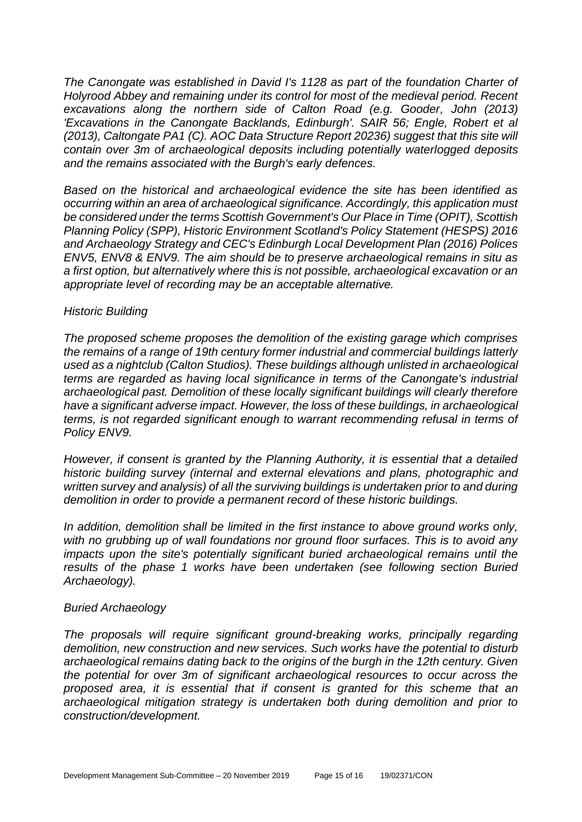*The Canongate was established in David I's 1128 as part of the foundation Charter of Holyrood Abbey and remaining under its control for most of the medieval period. Recent excavations along the northern side of Calton Road (e.g. Gooder, John (2013) 'Excavations in the Canongate Backlands, Edinburgh'. SAIR 56; Engle, Robert et al (2013), Caltongate PA1 (C). AOC Data Structure Report 20236) suggest that this site will contain over 3m of archaeological deposits including potentially waterlogged deposits and the remains associated with the Burgh's early defences.*

*Based on the historical and archaeological evidence the site has been identified as occurring within an area of archaeological significance. Accordingly, this application must be considered under the terms Scottish Government's Our Place in Time (OPIT), Scottish Planning Policy (SPP), Historic Environment Scotland's Policy Statement (HESPS) 2016 and Archaeology Strategy and CEC's Edinburgh Local Development Plan (2016) Polices ENV5, ENV8 & ENV9. The aim should be to preserve archaeological remains in situ as a first option, but alternatively where this is not possible, archaeological excavation or an appropriate level of recording may be an acceptable alternative.*

#### *Historic Building*

*The proposed scheme proposes the demolition of the existing garage which comprises the remains of a range of 19th century former industrial and commercial buildings latterly used as a nightclub (Calton Studios). These buildings although unlisted in archaeological terms are regarded as having local significance in terms of the Canongate's industrial archaeological past. Demolition of these locally significant buildings will clearly therefore have a significant adverse impact. However, the loss of these buildings, in archaeological terms, is not regarded significant enough to warrant recommending refusal in terms of Policy ENV9.* 

*However, if consent is granted by the Planning Authority, it is essential that a detailed historic building survey (internal and external elevations and plans, photographic and written survey and analysis) of all the surviving buildings is undertaken prior to and during demolition in order to provide a permanent record of these historic buildings.* 

In addition, demolition shall be limited in the first instance to above ground works only, *with no grubbing up of wall foundations nor ground floor surfaces. This is to avoid any impacts upon the site's potentially significant buried archaeological remains until the results of the phase 1 works have been undertaken (see following section Buried Archaeology).*

#### *Buried Archaeology*

*The proposals will require significant ground-breaking works, principally regarding demolition, new construction and new services. Such works have the potential to disturb archaeological remains dating back to the origins of the burgh in the 12th century. Given the potential for over 3m of significant archaeological resources to occur across the proposed area, it is essential that if consent is granted for this scheme that an archaeological mitigation strategy is undertaken both during demolition and prior to construction/development.*